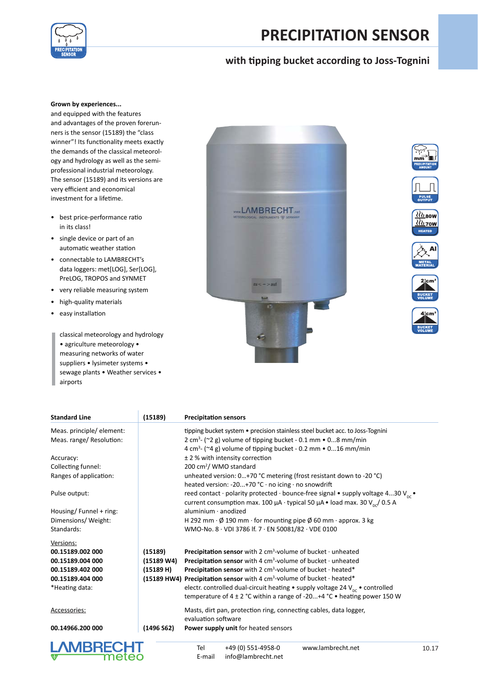

# **PRECIPITATION SENSOR**

## **with t pping bucket according to Joss-Tognini**

### **Grown by experiences...**

and equipped with the features and advantages of the proven forerunners is the sensor (15189) the "class winner"! Its functionality meets exactly the demands of the classical meteorology and hydrology as well as the semiprofessional industrial meteorology. The sensor (15189) and its versions are very efficient and economical investment for a lifetime.

- best price-performance ratio in its class!
- single device or part of an automatic weather station
- connectable to LAMBRECHT's data loggers: met[LOG], Ser[LOG], PreLOG, TROPOS and SYNMET
- very reliable measuring system
- high-quality materials
- easy installation

classical meteorology and hydrology • agriculture meteorology • measuring networks of water suppliers • lysimeter systems • sewage plants • Weather services • airports















| <b>Standard Line</b>      | (15189)    | <b>Precipitation sensors</b>                                                                    |
|---------------------------|------------|-------------------------------------------------------------------------------------------------|
| Meas. principle/ element: |            | tipping bucket system • precision stainless steel bucket acc. to Joss-Tognini                   |
| Meas. range/ Resolution:  |            | 2 cm <sup>3</sup> ( $\sim$ 2 g) volume of tipping bucket - 0.1 mm $\bullet$ 08 mm/min           |
|                           |            | 4 cm <sup>3</sup> - ( $\sim$ 4 g) volume of tipping bucket - 0.2 mm $\bullet$ 016 mm/min        |
| Accuracy:                 |            | $±$ 2 % with intensity correction                                                               |
| Collecting funnel:        |            | 200 cm <sup>2</sup> / WMO standard                                                              |
| Ranges of application:    |            | unheated version: 0+70 °C metering (frost resistant down to -20 °C)                             |
|                           |            | heated version: -20+70 °C $\cdot$ no icing $\cdot$ no snowdrift                                 |
| Pulse output:             |            | reed contact · polarity protected · bounce-free signal • supply voltage 430 $V_{nc}$ •          |
|                           |            | current consumption max. 100 $\mu$ A · typical 50 $\mu$ A · load max. 30 $V_{\text{pr}}/$ 0.5 A |
| Housing/Funnel + ring:    |            | $aluminium \cdot anodized$                                                                      |
| Dimensions/Weight:        |            | H 292 mm $\cdot$ Ø 190 mm $\cdot$ for mounting pipe Ø 60 mm $\cdot$ approx. 3 kg                |
| Standards:                |            | WMO-No. 8 · VDI 3786 If. 7 · EN 50081/82 · VDE 0100                                             |
| Versions:                 |            |                                                                                                 |
| 00.15189.002 000          | (15189)    | <b>Precipitation sensor</b> with 2 $cm3$ -volume of bucket $\cdot$ unheated                     |
| 00.15189.004 000          | (15189 W4) | <b>Precipitation sensor</b> with 4 $cm3$ -volume of bucket $\cdot$ unheated                     |
| 00.15189.402 000          | (15189 H)  | Precipitation sensor with 2 $cm3$ -volume of bucket $\cdot$ heated*                             |
| 00.15189.404 000          |            |                                                                                                 |
|                           |            | (15189 HW4) Precipitation sensor with 4 cm <sup>3</sup> -volume of bucket $\cdot$ heated*       |
| *Heating data:            |            | electr. controlled dual-circuit heating • supply voltage 24 $V_{nc}$ • controlled               |
|                           |            | temperature of $4 \pm 2$ °C within a range of -20+4 °C • heating power 150 W                    |
| Accessories:              |            | Masts, dirt pan, protection ring, connecting cables, data logger,                               |
|                           |            | evaluation software                                                                             |
| 00.14966.200 000          | (1496 S62) | Power supply unit for heated sensors                                                            |
|                           |            |                                                                                                 |
| <b>LAMBRECHT</b>          |            | +49 (0) 551-4958-0<br>www.lambrecht.net<br>Tel<br>10.1                                          |
| meteo                     |            | info@lambrecht.net<br>E-mail                                                                    |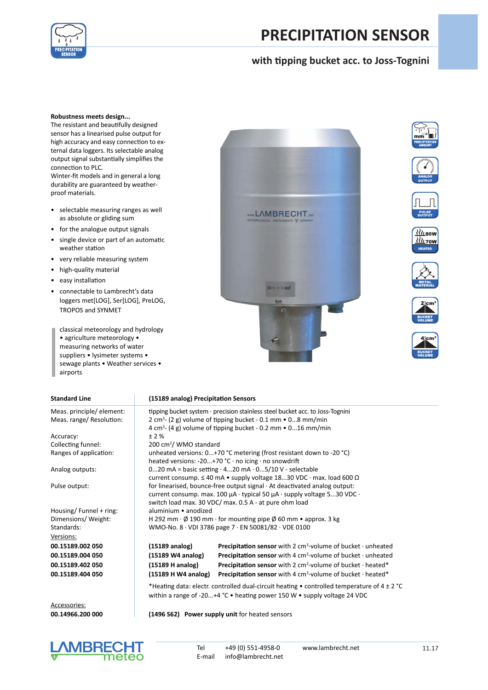

# **PRECIPITATION SENSOR**

## **with t pping bucket acc. to Joss-Tognini**

#### **Robustness meets design...**

The resistant and beautifully designed sensor has a linearised pulse output for high accuracy and easy connection to external data loggers. Its selectable analog output signal substantially simplifies the connection to PLC.

Winter-fit models and in general a long durability are guaranteed by weatherproof materials.

- selectable measuring ranges as well as absolute or gliding sum
- for the analogue output signals
- single device or part of an automatic weather station
- very reliable measuring system
- high-quality material
- easy installation
- connectable to Lambrecht's data loggers met[LOG], Ser[LOG], PreLOG, TROPOS and SYNMET

classical meteorology and hydrology • agriculture meteorology • measuring networks of water suppliers • lysimeter systems • sewage plants • Weather services • airports















#### **Standard Line (15189 analog) Precipitation Sensors**

Meas. principle/ element: tipping bucket system · precision stainless steel bucket acc. to Joss-Tognini Meas. range/ Resolution:

Accuracy:  $\pm 2\%$ Collecting funnel:<br>Ranges of application:

Housing/ Funnel + ring: aluminium • anodized Versions: **00.15189.002 050 (15189 analog) Precipitat on sensor** with 2 cm3 **00.15189.004 050 (15189 W4 analog) Precipitat on sensor** with 4 cm3 **00.15189.402 050 (15189 H analog) Precipitat on sensor** with 2 cm3 00.15189.404 050

Accessories:



unheated versions: 0...+70 °C metering (frost resistant down to -20 °C) heated versions: -20...+70 °C · no icing · no snowdrift Analog outputs: 0...20 mA = basic setting · 4...20 mA · 0...5/10 V - selectable current consump.  $\leq 40$  mA • supply voltage 18...30 VDC · max. load 600  $\Omega$ Pulse output:  $\parallel$  for linearised, bounce-free output signal  $\cdot$  At deactivated analog output: current consump. max. 100 µA · typical 50 µA · supply voltage 5...30 VDC · switch load max. 30 VDC/ max. 0.5 A - at pure ohm load Dimensions/ Weight: H 292 mm · Ø 190 mm · for mounting pipe Ø 60 mm · approx. 3 kg<br>Standards: WMO-No. 8 · VDI 3786 page 7 · EN 50081/82 · VDE 0100 WMO-No.  $8 \cdot$  VDI 3786 page 7  $\cdot$  EN 50081/82  $\cdot$  VDE 0100

| (15189 analog)      | <b>Precipitation sensor</b> with 2 $cm3$ -volume of bucket $\cdot$ unheated          |
|---------------------|--------------------------------------------------------------------------------------|
| (15189 W4 analog)   | <b>Precipitation sensor</b> with 4 $cm3$ -volume of bucket $\cdot$ unheated          |
| (15189 H analog)    | <b>Precipitation sensor</b> with 2 cm <sup>3</sup> -volume of bucket $\cdot$ heated* |
| (15189 H W4 analog) | <b>Precipitation sensor</b> with 4 cm <sup>3</sup> -volume of bucket $\cdot$ heated* |
|                     |                                                                                      |

\*Heating data: electr. controlled dual-circuit heating • controlled temperature of 4  $\pm$  2 °C within a range of -20...+4 °C • heating power 150 W • supply voltage 24 VDC

**00.14966.200 000 (1496 S62) Power supply unit** for heated sensors



Tel +49 (0) 551-4958-0 www.lambrecht.net<br>E-mail info@lambrecht.net  $info@lambrecht.net$